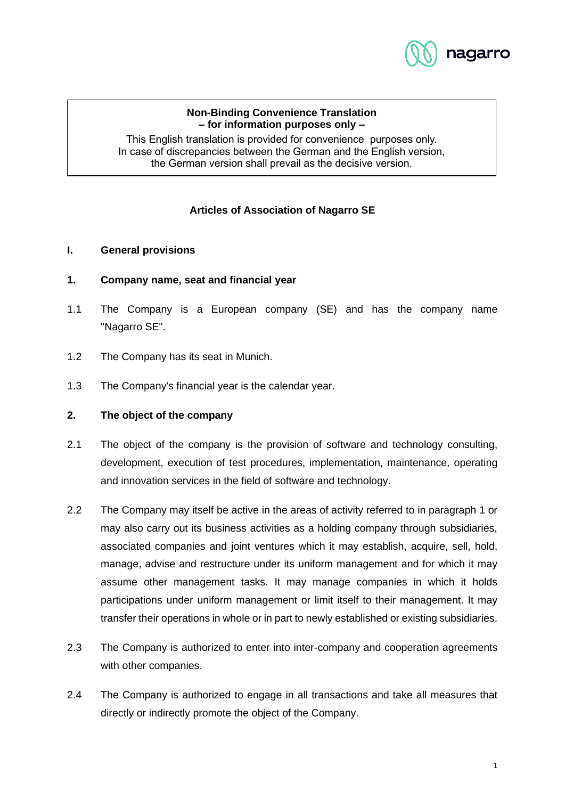

### **Non-Binding Convenience Translation – for information purposes only –**

This English translation is provided for convenience purposes only. In case of discrepancies between the German and the English version, the German version shall prevail as the decisive version.

# **Articles of Association of Nagarro SE**

### **I. General provisions**

### **1. Company name, seat and financial year**

- 1.1 The Company is a European company (SE) and has the company name "Nagarro SE".
- 1.2 The Company has its seat in Munich.
- 1.3 The Company's financial year is the calendar year.

# **2. The object of the company**

- 2.1 The object of the company is the provision of software and technology consulting, development, execution of test procedures, implementation, maintenance, operating and innovation services in the field of software and technology.
- 2.2 The Company may itself be active in the areas of activity referred to in paragraph 1 or may also carry out its business activities as a holding company through subsidiaries, associated companies and joint ventures which it may establish, acquire, sell, hold, manage, advise and restructure under its uniform management and for which it may assume other management tasks. It may manage companies in which it holds participations under uniform management or limit itself to their management. It may transfer their operations in whole or in part to newly established or existing subsidiaries.
- 2.3 The Company is authorized to enter into inter-company and cooperation agreements with other companies.
- 2.4 The Company is authorized to engage in all transactions and take all measures that directly or indirectly promote the object of the Company.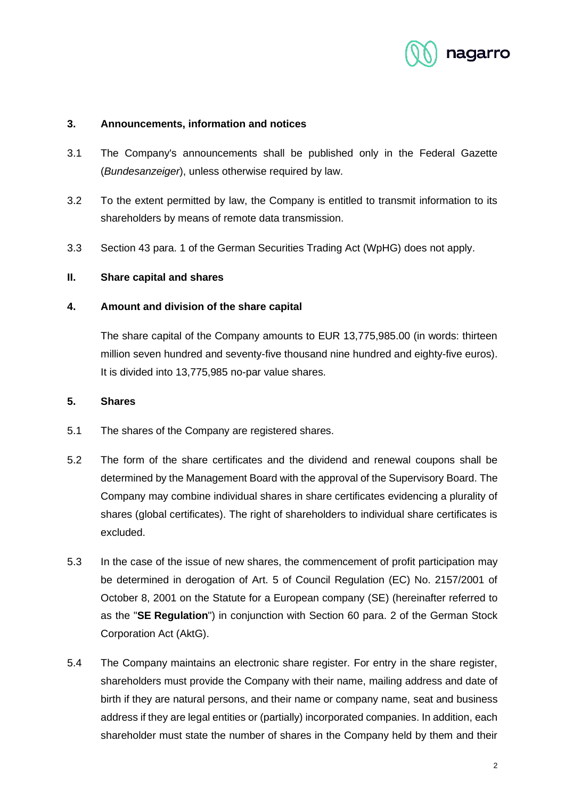

### **3. Announcements, information and notices**

- 3.1 The Company's announcements shall be published only in the Federal Gazette (*Bundesanzeiger*), unless otherwise required by law.
- 3.2 To the extent permitted by law, the Company is entitled to transmit information to its shareholders by means of remote data transmission.
- 3.3 Section 43 para. 1 of the German Securities Trading Act (WpHG) does not apply.

### **II. Share capital and shares**

### **4. Amount and division of the share capital**

The share capital of the Company amounts to EUR 13,775,985.00 (in words: thirteen million seven hundred and seventy-five thousand nine hundred and eighty-five euros). It is divided into 13,775,985 no-par value shares.

### **5. Shares**

- 5.1 The shares of the Company are registered shares.
- 5.2 The form of the share certificates and the dividend and renewal coupons shall be determined by the Management Board with the approval of the Supervisory Board. The Company may combine individual shares in share certificates evidencing a plurality of shares (global certificates). The right of shareholders to individual share certificates is excluded.
- 5.3 In the case of the issue of new shares, the commencement of profit participation may be determined in derogation of Art. 5 of Council Regulation (EC) No. 2157/2001 of October 8, 2001 on the Statute for a European company (SE) (hereinafter referred to as the "**SE Regulation**") in conjunction with Section 60 para. 2 of the German Stock Corporation Act (AktG).
- 5.4 The Company maintains an electronic share register. For entry in the share register, shareholders must provide the Company with their name, mailing address and date of birth if they are natural persons, and their name or company name, seat and business address if they are legal entities or (partially) incorporated companies. In addition, each shareholder must state the number of shares in the Company held by them and their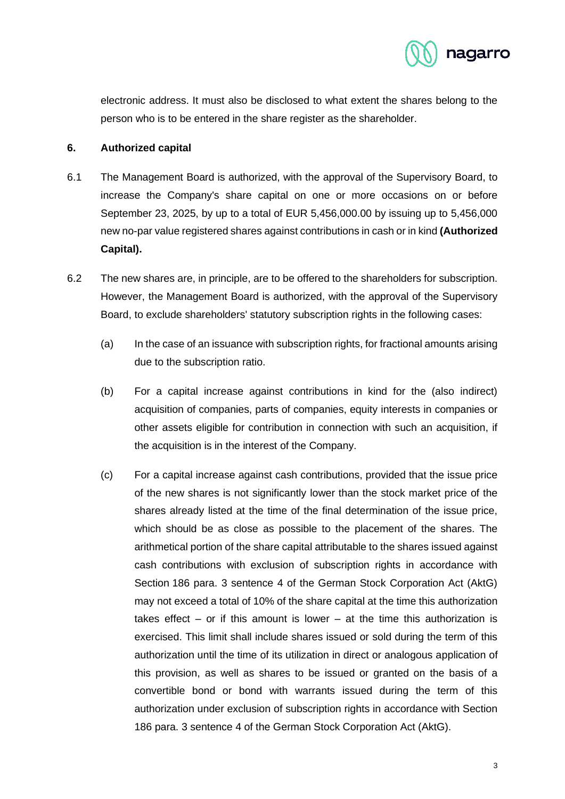

electronic address. It must also be disclosed to what extent the shares belong to the person who is to be entered in the share register as the shareholder.

# **6. Authorized capital**

- 6.1 The Management Board is authorized, with the approval of the Supervisory Board, to increase the Company's share capital on one or more occasions on or before September 23, 2025, by up to a total of EUR 5,456,000.00 by issuing up to 5,456,000 new no-par value registered shares against contributions in cash or in kind **(Authorized Capital).**
- 6.2 The new shares are, in principle, are to be offered to the shareholders for subscription. However, the Management Board is authorized, with the approval of the Supervisory Board, to exclude shareholders' statutory subscription rights in the following cases:
	- (a) In the case of an issuance with subscription rights, for fractional amounts arising due to the subscription ratio.
	- (b) For a capital increase against contributions in kind for the (also indirect) acquisition of companies, parts of companies, equity interests in companies or other assets eligible for contribution in connection with such an acquisition, if the acquisition is in the interest of the Company.
	- (c) For a capital increase against cash contributions, provided that the issue price of the new shares is not significantly lower than the stock market price of the shares already listed at the time of the final determination of the issue price, which should be as close as possible to the placement of the shares. The arithmetical portion of the share capital attributable to the shares issued against cash contributions with exclusion of subscription rights in accordance with Section 186 para. 3 sentence 4 of the German Stock Corporation Act (AktG) may not exceed a total of 10% of the share capital at the time this authorization takes effect  $-$  or if this amount is lower  $-$  at the time this authorization is exercised. This limit shall include shares issued or sold during the term of this authorization until the time of its utilization in direct or analogous application of this provision, as well as shares to be issued or granted on the basis of a convertible bond or bond with warrants issued during the term of this authorization under exclusion of subscription rights in accordance with Section 186 para. 3 sentence 4 of the German Stock Corporation Act (AktG).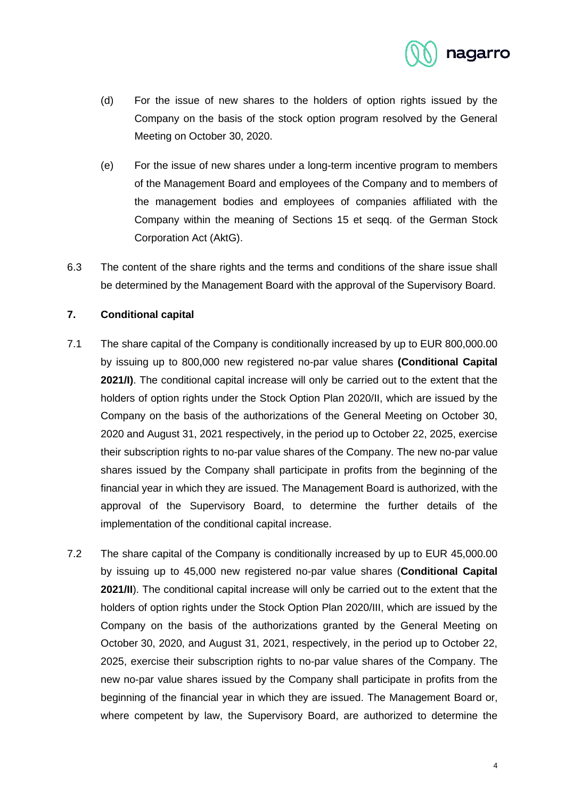

- (d) For the issue of new shares to the holders of option rights issued by the Company on the basis of the stock option program resolved by the General Meeting on October 30, 2020.
- (e) For the issue of new shares under a long-term incentive program to members of the Management Board and employees of the Company and to members of the management bodies and employees of companies affiliated with the Company within the meaning of Sections 15 et seqq. of the German Stock Corporation Act (AktG).
- 6.3 The content of the share rights and the terms and conditions of the share issue shall be determined by the Management Board with the approval of the Supervisory Board.

# **7. Conditional capital**

- 7.1 The share capital of the Company is conditionally increased by up to EUR 800,000.00 by issuing up to 800,000 new registered no-par value shares **(Conditional Capital 2021/I)**. The conditional capital increase will only be carried out to the extent that the holders of option rights under the Stock Option Plan 2020/II, which are issued by the Company on the basis of the authorizations of the General Meeting on October 30, 2020 and August 31, 2021 respectively, in the period up to October 22, 2025, exercise their subscription rights to no-par value shares of the Company. The new no-par value shares issued by the Company shall participate in profits from the beginning of the financial year in which they are issued. The Management Board is authorized, with the approval of the Supervisory Board, to determine the further details of the implementation of the conditional capital increase.
- 7.2 The share capital of the Company is conditionally increased by up to EUR 45,000.00 by issuing up to 45,000 new registered no-par value shares (**Conditional Capital 2021/II**). The conditional capital increase will only be carried out to the extent that the holders of option rights under the Stock Option Plan 2020/III, which are issued by the Company on the basis of the authorizations granted by the General Meeting on October 30, 2020, and August 31, 2021, respectively, in the period up to October 22, 2025, exercise their subscription rights to no-par value shares of the Company. The new no-par value shares issued by the Company shall participate in profits from the beginning of the financial year in which they are issued. The Management Board or, where competent by law, the Supervisory Board, are authorized to determine the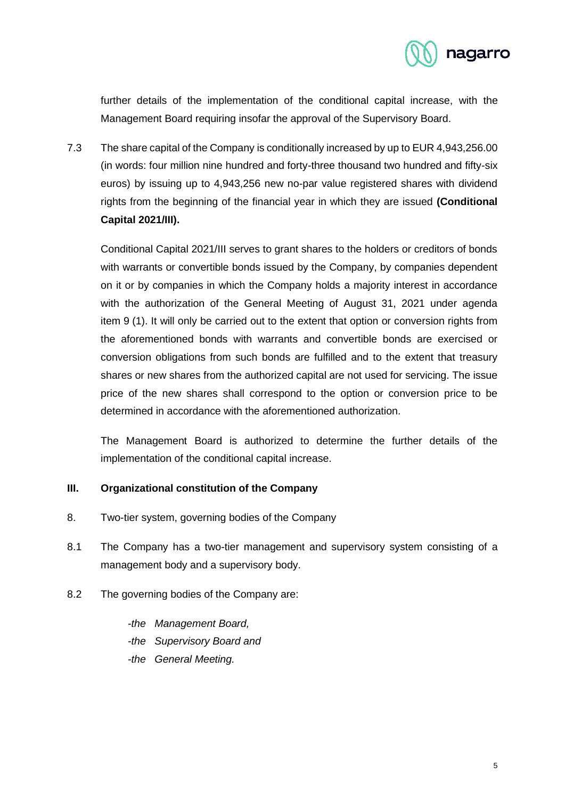

further details of the implementation of the conditional capital increase, with the Management Board requiring insofar the approval of the Supervisory Board.

7.3 The share capital of the Company is conditionally increased by up to EUR 4,943,256.00 (in words: four million nine hundred and forty-three thousand two hundred and fifty-six euros) by issuing up to 4,943,256 new no-par value registered shares with dividend rights from the beginning of the financial year in which they are issued **(Conditional Capital 2021/III).**

Conditional Capital 2021/III serves to grant shares to the holders or creditors of bonds with warrants or convertible bonds issued by the Company, by companies dependent on it or by companies in which the Company holds a majority interest in accordance with the authorization of the General Meeting of August 31, 2021 under agenda item 9 (1). It will only be carried out to the extent that option or conversion rights from the aforementioned bonds with warrants and convertible bonds are exercised or conversion obligations from such bonds are fulfilled and to the extent that treasury shares or new shares from the authorized capital are not used for servicing. The issue price of the new shares shall correspond to the option or conversion price to be determined in accordance with the aforementioned authorization.

The Management Board is authorized to determine the further details of the implementation of the conditional capital increase.

# **III. Organizational constitution of the Company**

- 8. Two-tier system, governing bodies of the Company
- 8.1 The Company has a two-tier management and supervisory system consisting of a management body and a supervisory body.
- 8.2 The governing bodies of the Company are:

*-the Management Board, -the Supervisory Board and*

*-the General Meeting.*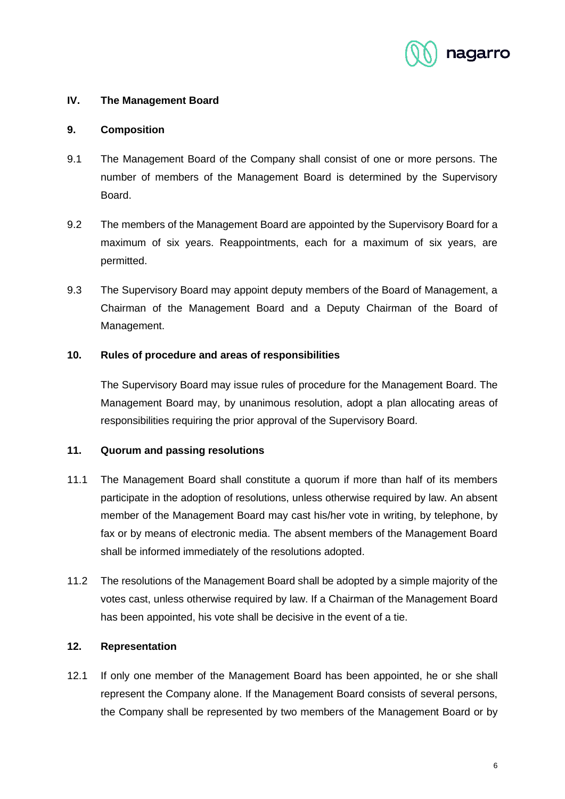

# **IV. The Management Board**

### **9. Composition**

- 9.1 The Management Board of the Company shall consist of one or more persons. The number of members of the Management Board is determined by the Supervisory Board.
- 9.2 The members of the Management Board are appointed by the Supervisory Board for a maximum of six years. Reappointments, each for a maximum of six years, are permitted.
- 9.3 The Supervisory Board may appoint deputy members of the Board of Management, a Chairman of the Management Board and a Deputy Chairman of the Board of Management.

### **10. Rules of procedure and areas of responsibilities**

The Supervisory Board may issue rules of procedure for the Management Board. The Management Board may, by unanimous resolution, adopt a plan allocating areas of responsibilities requiring the prior approval of the Supervisory Board.

#### **11. Quorum and passing resolutions**

- 11.1 The Management Board shall constitute a quorum if more than half of its members participate in the adoption of resolutions, unless otherwise required by law. An absent member of the Management Board may cast his/her vote in writing, by telephone, by fax or by means of electronic media. The absent members of the Management Board shall be informed immediately of the resolutions adopted.
- 11.2 The resolutions of the Management Board shall be adopted by a simple majority of the votes cast, unless otherwise required by law. If a Chairman of the Management Board has been appointed, his vote shall be decisive in the event of a tie.

### **12. Representation**

12.1 If only one member of the Management Board has been appointed, he or she shall represent the Company alone. If the Management Board consists of several persons, the Company shall be represented by two members of the Management Board or by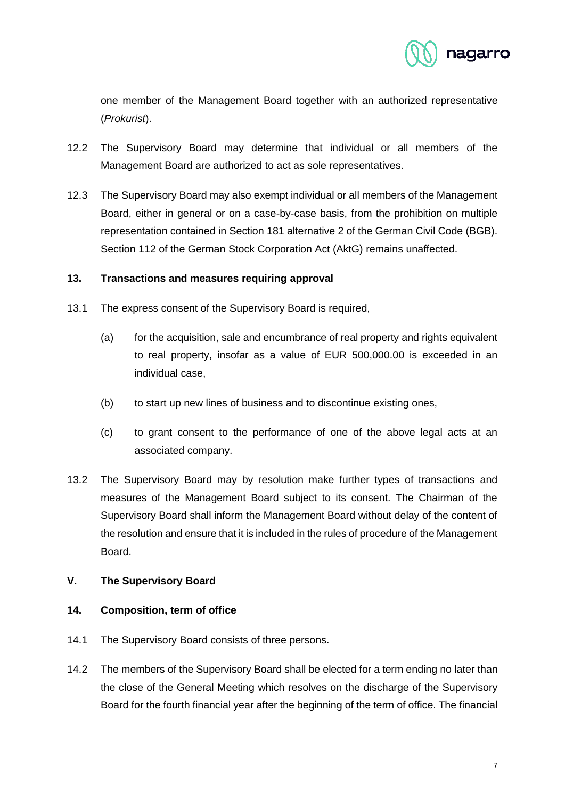

one member of the Management Board together with an authorized representative (*Prokurist*).

- 12.2 The Supervisory Board may determine that individual or all members of the Management Board are authorized to act as sole representatives.
- 12.3 The Supervisory Board may also exempt individual or all members of the Management Board, either in general or on a case-by-case basis, from the prohibition on multiple representation contained in Section 181 alternative 2 of the German Civil Code (BGB). Section 112 of the German Stock Corporation Act (AktG) remains unaffected.

### **13. Transactions and measures requiring approval**

- 13.1 The express consent of the Supervisory Board is required,
	- (a) for the acquisition, sale and encumbrance of real property and rights equivalent to real property, insofar as a value of EUR 500,000.00 is exceeded in an individual case,
	- (b) to start up new lines of business and to discontinue existing ones,
	- (c) to grant consent to the performance of one of the above legal acts at an associated company.
- 13.2 The Supervisory Board may by resolution make further types of transactions and measures of the Management Board subject to its consent. The Chairman of the Supervisory Board shall inform the Management Board without delay of the content of the resolution and ensure that it is included in the rules of procedure of the Management Board.

# **V. The Supervisory Board**

# **14. Composition, term of office**

- 14.1 The Supervisory Board consists of three persons.
- 14.2 The members of the Supervisory Board shall be elected for a term ending no later than the close of the General Meeting which resolves on the discharge of the Supervisory Board for the fourth financial year after the beginning of the term of office. The financial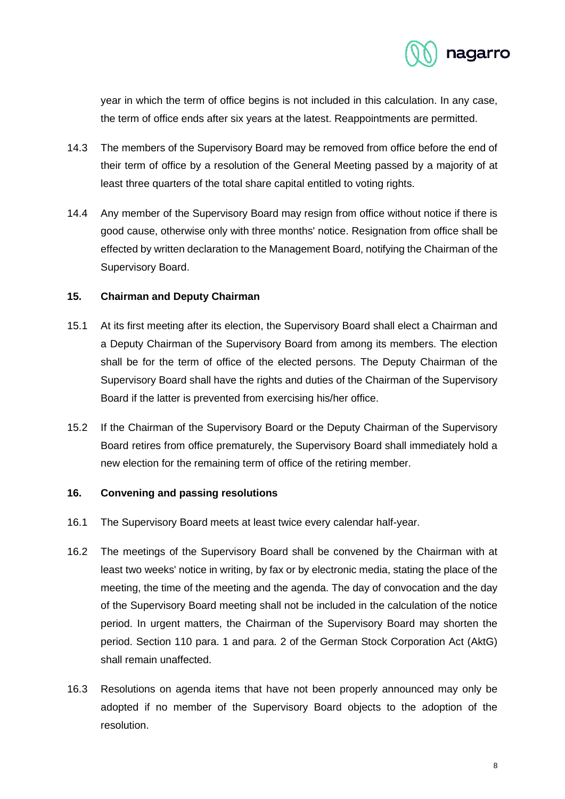

year in which the term of office begins is not included in this calculation. In any case, the term of office ends after six years at the latest. Reappointments are permitted.

- 14.3 The members of the Supervisory Board may be removed from office before the end of their term of office by a resolution of the General Meeting passed by a majority of at least three quarters of the total share capital entitled to voting rights.
- 14.4 Any member of the Supervisory Board may resign from office without notice if there is good cause, otherwise only with three months' notice. Resignation from office shall be effected by written declaration to the Management Board, notifying the Chairman of the Supervisory Board.

### **15. Chairman and Deputy Chairman**

- 15.1 At its first meeting after its election, the Supervisory Board shall elect a Chairman and a Deputy Chairman of the Supervisory Board from among its members. The election shall be for the term of office of the elected persons. The Deputy Chairman of the Supervisory Board shall have the rights and duties of the Chairman of the Supervisory Board if the latter is prevented from exercising his/her office.
- 15.2 If the Chairman of the Supervisory Board or the Deputy Chairman of the Supervisory Board retires from office prematurely, the Supervisory Board shall immediately hold a new election for the remaining term of office of the retiring member.

### **16. Convening and passing resolutions**

- 16.1 The Supervisory Board meets at least twice every calendar half-year.
- 16.2 The meetings of the Supervisory Board shall be convened by the Chairman with at least two weeks' notice in writing, by fax or by electronic media, stating the place of the meeting, the time of the meeting and the agenda. The day of convocation and the day of the Supervisory Board meeting shall not be included in the calculation of the notice period. In urgent matters, the Chairman of the Supervisory Board may shorten the period. Section 110 para. 1 and para. 2 of the German Stock Corporation Act (AktG) shall remain unaffected.
- 16.3 Resolutions on agenda items that have not been properly announced may only be adopted if no member of the Supervisory Board objects to the adoption of the resolution.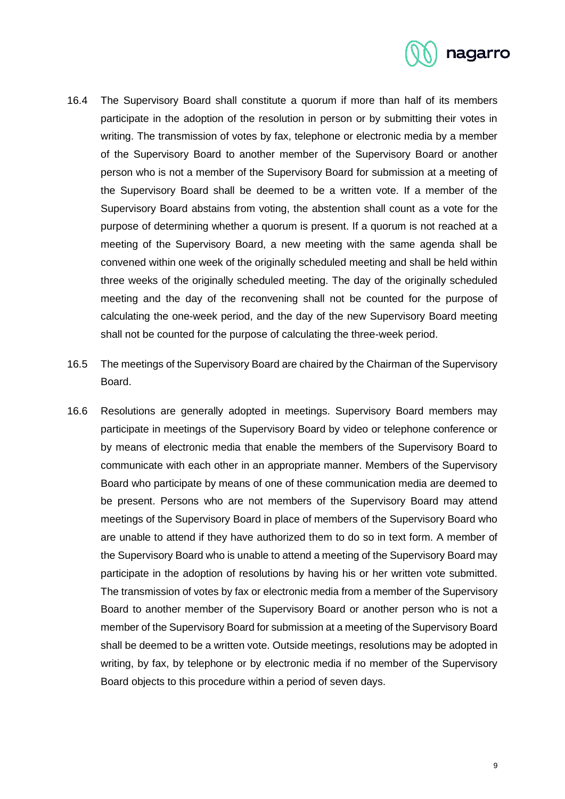

- 16.4 The Supervisory Board shall constitute a quorum if more than half of its members participate in the adoption of the resolution in person or by submitting their votes in writing. The transmission of votes by fax, telephone or electronic media by a member of the Supervisory Board to another member of the Supervisory Board or another person who is not a member of the Supervisory Board for submission at a meeting of the Supervisory Board shall be deemed to be a written vote. If a member of the Supervisory Board abstains from voting, the abstention shall count as a vote for the purpose of determining whether a quorum is present. If a quorum is not reached at a meeting of the Supervisory Board, a new meeting with the same agenda shall be convened within one week of the originally scheduled meeting and shall be held within three weeks of the originally scheduled meeting. The day of the originally scheduled meeting and the day of the reconvening shall not be counted for the purpose of calculating the one-week period, and the day of the new Supervisory Board meeting shall not be counted for the purpose of calculating the three-week period.
- 16.5 The meetings of the Supervisory Board are chaired by the Chairman of the Supervisory Board.
- 16.6 Resolutions are generally adopted in meetings. Supervisory Board members may participate in meetings of the Supervisory Board by video or telephone conference or by means of electronic media that enable the members of the Supervisory Board to communicate with each other in an appropriate manner. Members of the Supervisory Board who participate by means of one of these communication media are deemed to be present. Persons who are not members of the Supervisory Board may attend meetings of the Supervisory Board in place of members of the Supervisory Board who are unable to attend if they have authorized them to do so in text form. A member of the Supervisory Board who is unable to attend a meeting of the Supervisory Board may participate in the adoption of resolutions by having his or her written vote submitted. The transmission of votes by fax or electronic media from a member of the Supervisory Board to another member of the Supervisory Board or another person who is not a member of the Supervisory Board for submission at a meeting of the Supervisory Board shall be deemed to be a written vote. Outside meetings, resolutions may be adopted in writing, by fax, by telephone or by electronic media if no member of the Supervisory Board objects to this procedure within a period of seven days.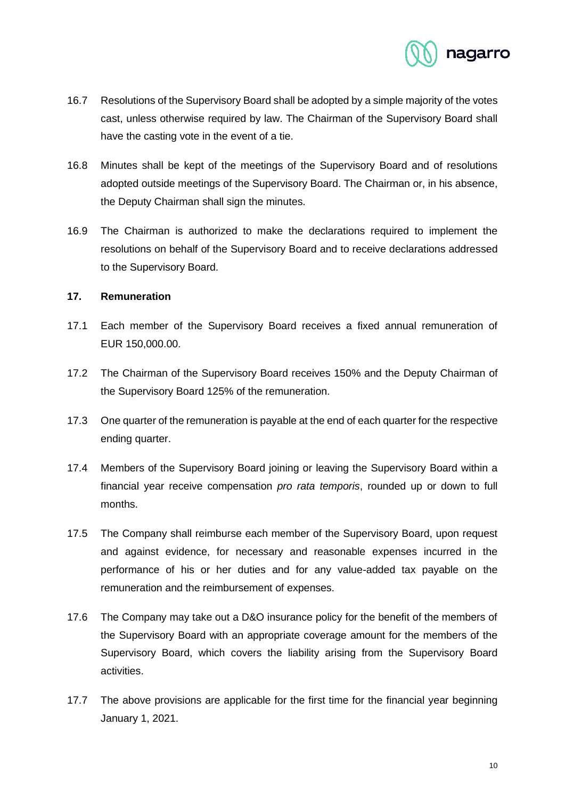

- 16.7 Resolutions of the Supervisory Board shall be adopted by a simple majority of the votes cast, unless otherwise required by law. The Chairman of the Supervisory Board shall have the casting vote in the event of a tie.
- 16.8 Minutes shall be kept of the meetings of the Supervisory Board and of resolutions adopted outside meetings of the Supervisory Board. The Chairman or, in his absence, the Deputy Chairman shall sign the minutes.
- 16.9 The Chairman is authorized to make the declarations required to implement the resolutions on behalf of the Supervisory Board and to receive declarations addressed to the Supervisory Board.

### **17. Remuneration**

- 17.1 Each member of the Supervisory Board receives a fixed annual remuneration of EUR 150,000.00.
- 17.2 The Chairman of the Supervisory Board receives 150% and the Deputy Chairman of the Supervisory Board 125% of the remuneration.
- 17.3 One quarter of the remuneration is payable at the end of each quarter for the respective ending quarter.
- 17.4 Members of the Supervisory Board joining or leaving the Supervisory Board within a financial year receive compensation *pro rata temporis*, rounded up or down to full months.
- 17.5 The Company shall reimburse each member of the Supervisory Board, upon request and against evidence, for necessary and reasonable expenses incurred in the performance of his or her duties and for any value-added tax payable on the remuneration and the reimbursement of expenses.
- 17.6 The Company may take out a D&O insurance policy for the benefit of the members of the Supervisory Board with an appropriate coverage amount for the members of the Supervisory Board, which covers the liability arising from the Supervisory Board activities.
- 17.7 The above provisions are applicable for the first time for the financial year beginning January 1, 2021.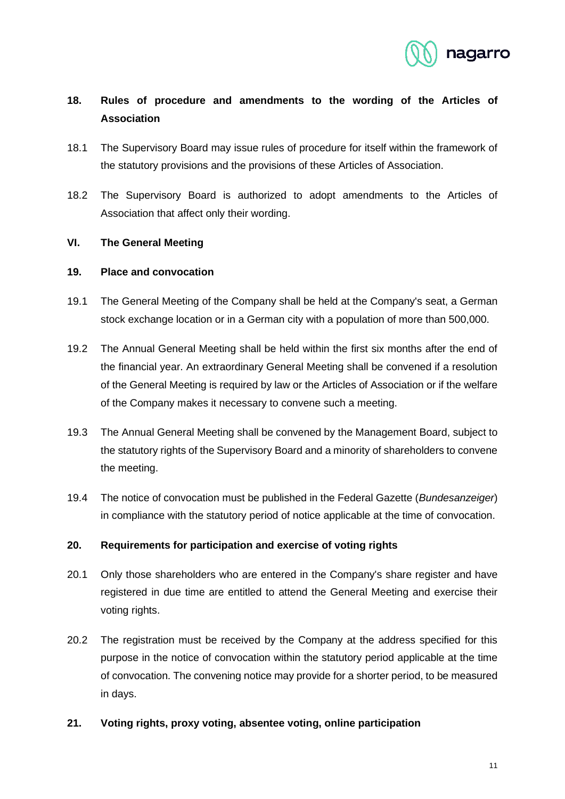

# **18. Rules of procedure and amendments to the wording of the Articles of Association**

- 18.1 The Supervisory Board may issue rules of procedure for itself within the framework of the statutory provisions and the provisions of these Articles of Association.
- 18.2 The Supervisory Board is authorized to adopt amendments to the Articles of Association that affect only their wording.

### **VI. The General Meeting**

### **19. Place and convocation**

- 19.1 The General Meeting of the Company shall be held at the Company's seat, a German stock exchange location or in a German city with a population of more than 500,000.
- 19.2 The Annual General Meeting shall be held within the first six months after the end of the financial year. An extraordinary General Meeting shall be convened if a resolution of the General Meeting is required by law or the Articles of Association or if the welfare of the Company makes it necessary to convene such a meeting.
- 19.3 The Annual General Meeting shall be convened by the Management Board, subject to the statutory rights of the Supervisory Board and a minority of shareholders to convene the meeting.
- 19.4 The notice of convocation must be published in the Federal Gazette (*Bundesanzeiger*) in compliance with the statutory period of notice applicable at the time of convocation.

# **20. Requirements for participation and exercise of voting rights**

- 20.1 Only those shareholders who are entered in the Company's share register and have registered in due time are entitled to attend the General Meeting and exercise their voting rights.
- 20.2 The registration must be received by the Company at the address specified for this purpose in the notice of convocation within the statutory period applicable at the time of convocation. The convening notice may provide for a shorter period, to be measured in days.
- **21. Voting rights, proxy voting, absentee voting, online participation**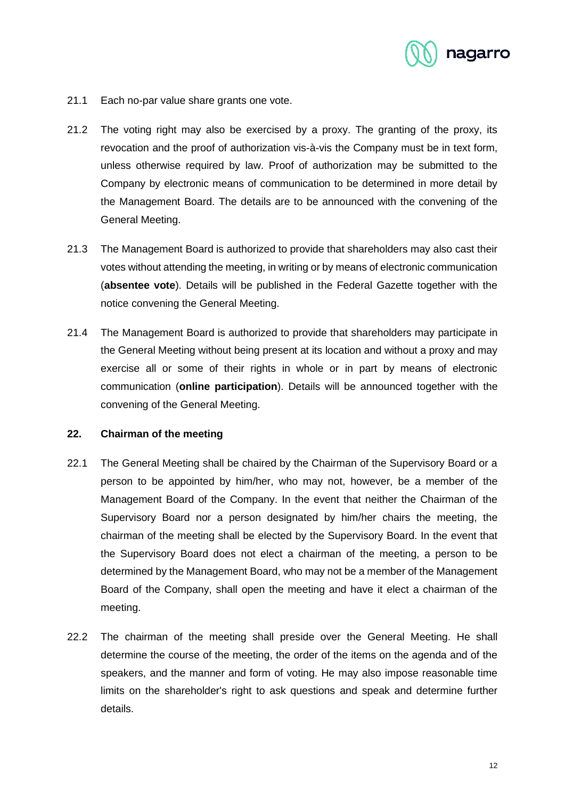

- 21.1 Each no-par value share grants one vote.
- 21.2 The voting right may also be exercised by a proxy. The granting of the proxy, its revocation and the proof of authorization vis-à-vis the Company must be in text form, unless otherwise required by law. Proof of authorization may be submitted to the Company by electronic means of communication to be determined in more detail by the Management Board. The details are to be announced with the convening of the General Meeting.
- 21.3 The Management Board is authorized to provide that shareholders may also cast their votes without attending the meeting, in writing or by means of electronic communication (**absentee vote**). Details will be published in the Federal Gazette together with the notice convening the General Meeting.
- 21.4 The Management Board is authorized to provide that shareholders may participate in the General Meeting without being present at its location and without a proxy and may exercise all or some of their rights in whole or in part by means of electronic communication (**online participation**). Details will be announced together with the convening of the General Meeting.

### **22. Chairman of the meeting**

- 22.1 The General Meeting shall be chaired by the Chairman of the Supervisory Board or a person to be appointed by him/her, who may not, however, be a member of the Management Board of the Company. In the event that neither the Chairman of the Supervisory Board nor a person designated by him/her chairs the meeting, the chairman of the meeting shall be elected by the Supervisory Board. In the event that the Supervisory Board does not elect a chairman of the meeting, a person to be determined by the Management Board, who may not be a member of the Management Board of the Company, shall open the meeting and have it elect a chairman of the meeting.
- 22.2 The chairman of the meeting shall preside over the General Meeting. He shall determine the course of the meeting, the order of the items on the agenda and of the speakers, and the manner and form of voting. He may also impose reasonable time limits on the shareholder's right to ask questions and speak and determine further details.